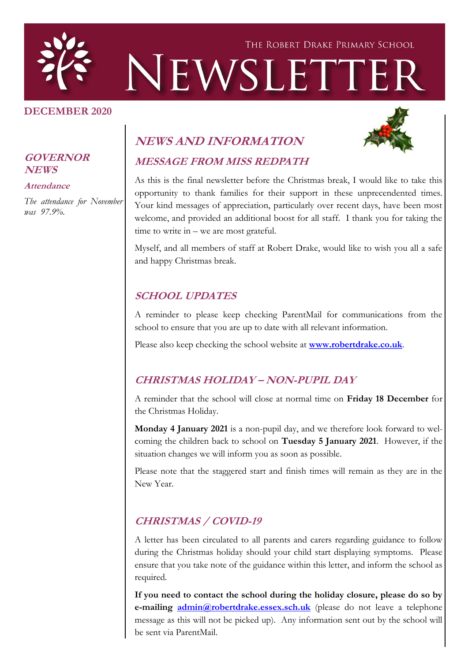

#### **DECEMBER 2020**



#### **GOVERNOR NEWS**

#### **Attendance**

*The attendance for November was 97.9%.*

## **NEWS AND INFORMATION**

# **MESSAGE FROM MISS REDPATH**

As this is the final newsletter before the Christmas break, I would like to take this opportunity to thank families for their support in these unprecendented times. Your kind messages of appreciation, particularly over recent days, have been most welcome, and provided an additional boost for all staff. I thank you for taking the time to write in – we are most grateful.

Myself, and all members of staff at Robert Drake, would like to wish you all a safe and happy Christmas break.

### **SCHOOL UPDATES**

A reminder to please keep checking ParentMail for communications from the school to ensure that you are up to date with all relevant information.

Please also keep checking the school website at **[www.robertdrake.co.uk](http://www.robertdrake.co.uk)**.

### **CHRISTMAS HOLIDAY – NON-PUPIL DAY**

A reminder that the school will close at normal time on **Friday 18 December** for the Christmas Holiday.

**Monday 4 January 2021** is a non-pupil day, and we therefore look forward to welcoming the children back to school on **Tuesday 5 January 2021**. However, if the situation changes we will inform you as soon as possible.

Please note that the staggered start and finish times will remain as they are in the New Year.

### **CHRISTMAS / COVID-19**

A letter has been circulated to all parents and carers regarding guidance to follow during the Christmas holiday should your child start displaying symptoms. Please ensure that you take note of the guidance within this letter, and inform the school as required.

**If you need to contact the school during the holiday closure, please do so by e-mailing [admin@robertdrake.essex.sch.uk](mailto:admin@robertdrake.essex.sch.uk)** (please do not leave a telephone message as this will not be picked up). Any information sent out by the school will be sent via ParentMail.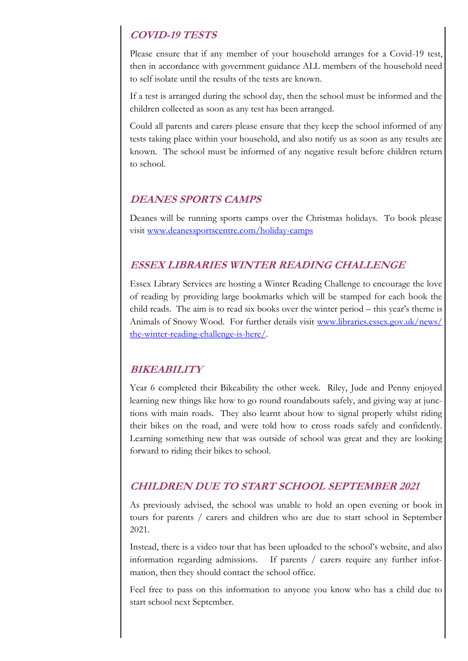### **COVID-19 TESTS**

Please ensure that if any member of your household arranges for a Covid-19 test, then in accordance with government guidance ALL members of the household need to self isolate until the results of the tests are known.

If a test is arranged during the school day, then the school must be informed and the children collected as soon as any test has been arranged.

Could all parents and carers please ensure that they keep the school informed of any tests taking place within your household, and also notify us as soon as any results are known. The school must be informed of any negative result before children return to school.

#### **DEANES SPORTS CAMPS**

Deanes will be running sports camps over the Christmas holidays. To book please visit [www.deanessportscentre.com/holiday-camps](http://www.deanessportscentre.com/holiday-camps)

### **ESSEX LIBRARIES WINTER READING CHALLENGE**

Essex Library Services are hosting a Winter Reading Challenge to encourage the love of reading by providing large bookmarks which will be stamped for each book the child reads. The aim is to read six books over the winter period – this year's theme is Animals of Snowy Wood. For further details visit [www.libraries.essex.gov.uk/news/](http://www.libraries.essex.gov.uk/news/the-winter-reading-challenge-is-here/) [the-winter-reading-challenge-is-here/.](http://www.libraries.essex.gov.uk/news/the-winter-reading-challenge-is-here/) 

### **BIKEABILITY**

Year 6 completed their Bikeability the other week. Riley, Jude and Penny enjoyed learning new things like how to go round roundabouts safely, and giving way at junctions with main roads. They also learnt about how to signal properly whilst riding their bikes on the road, and were told how to cross roads safely and confidently. Learning something new that was outside of school was great and they are looking forward to riding their bikes to school.

### **CHILDREN DUE TO START SCHOOL SEPTEMBER 2021**

As previously advised, the school was unable to hold an open evening or book in tours for parents / carers and children who are due to start school in September 2021.

Instead, there is a video tour that has been uploaded to the school's website, and also information regarding admissions. If parents / carers require any further information, then they should contact the school office.

Feel free to pass on this information to anyone you know who has a child due to start school next September.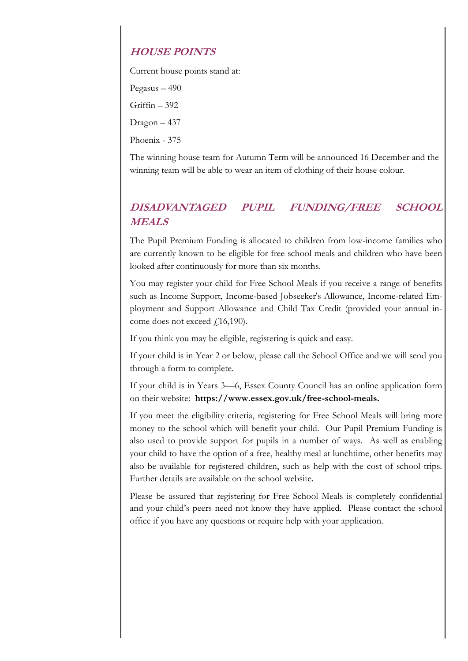### **HOUSE POINTS**

Current house points stand at:

Pegasus – 490

Griffin – 392

Dragon – 437

Phoenix - 375

The winning house team for Autumn Term will be announced 16 December and the winning team will be able to wear an item of clothing of their house colour.

### **DISADVANTAGED PUPIL FUNDING/FREE SCHOOL MEALS**

The Pupil Premium Funding is allocated to children from low-income families who are currently known to be eligible for free school meals and children who have been looked after continuously for more than six months.

You may register your child for Free School Meals if you receive a range of benefits such as Income Support, Income-based Jobseeker's Allowance, Income-related Employment and Support Allowance and Child Tax Credit (provided your annual income does not exceed  $f(16,190)$ .

If you think you may be eligible, registering is quick and easy.

If your child is in Year 2 or below, please call the School Office and we will send you through a form to complete.

If your child is in Years 3—6, Essex County Council has an online application form on their website: **https://www.essex.gov.uk/free-school-meals.**

If you meet the eligibility criteria, registering for Free School Meals will bring more money to the school which will benefit your child. Our Pupil Premium Funding is also used to provide support for pupils in a number of ways. As well as enabling your child to have the option of a free, healthy meal at lunchtime, other benefits may also be available for registered children, such as help with the cost of school trips. Further details are available on the school website.

Please be assured that registering for Free School Meals is completely confidential and your child's peers need not know they have applied. Please contact the school office if you have any questions or require help with your application.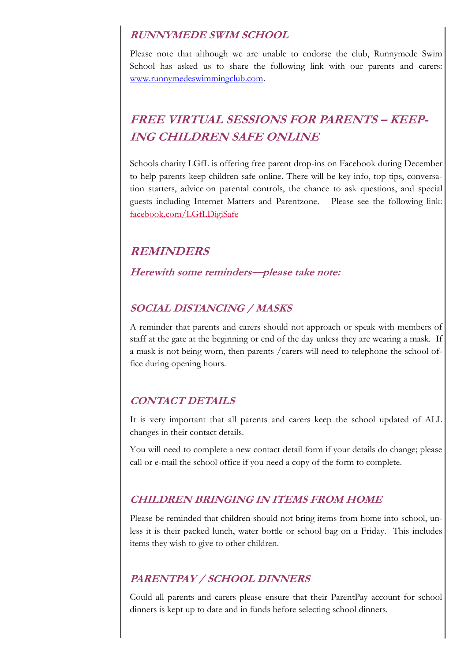#### **RUNNYMEDE SWIM SCHOOL**

Please note that although we are unable to endorse the club, Runnymede Swim School has asked us to share the following link with our parents and carers: [www.runnymedeswimmingclub.com.](http://www.runnymedeswimmingclub.com) 

# **FREE VIRTUAL SESSIONS FOR PARENTS – KEEP-ING CHILDREN SAFE ONLINE**

Schools charity LGfL is offering free parent drop-ins on Facebook during December to help parents keep children safe online. There will be key info, top tips, conversation starters, advice on parental controls, the chance to ask questions, and special guests including Internet Matters and Parentzone. Please see the following link: [facebook.com/LGfLDigiSafe](https://lnks.gd/l/eyJhbGciOiJIUzI1NiJ9.eyJidWxsZXRpbl9saW5rX2lkIjoxMDYsInVyaSI6ImJwMjpjbGljayIsImJ1bGxldGluX2lkIjoiMjAyMDEyMTQuMzE5ODgzMjEiLCJ1cmwiOiJodHRwczovL3d3dy5mYWNlYm9vay5jb20vbGdmbGRpZ2lzYWZlIn0.8sqdAA961K0eoVdKJD77Wy2p197t5JrN06FxUSiWTZ8/s/954884172/)

### **REMINDERS**

**Herewith some reminders—please take note:**

#### **SOCIAL DISTANCING / MASKS**

A reminder that parents and carers should not approach or speak with members of staff at the gate at the beginning or end of the day unless they are wearing a mask. If a mask is not being worn, then parents /carers will need to telephone the school office during opening hours.

### **CONTACT DETAILS**

It is very important that all parents and carers keep the school updated of ALL changes in their contact details.

You will need to complete a new contact detail form if your details do change; please call or e-mail the school office if you need a copy of the form to complete.

### **CHILDREN BRINGING IN ITEMS FROM HOME**

Please be reminded that children should not bring items from home into school, unless it is their packed lunch, water bottle or school bag on a Friday. This includes items they wish to give to other children.

### **PARENTPAY / SCHOOL DINNERS**

Could all parents and carers please ensure that their ParentPay account for school dinners is kept up to date and in funds before selecting school dinners.